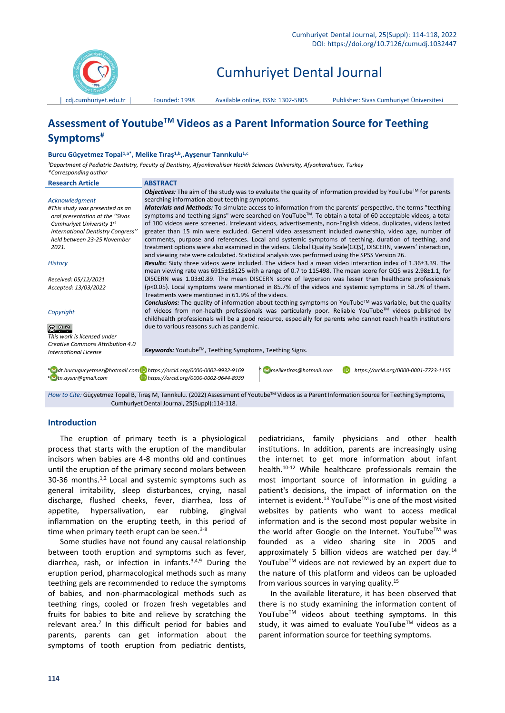

# Cumhuriyet Dental Journal

│ [cdj.cumhuriyet.edu.tr](http://xxx.cumhuriyet.edu.tr/) │ Founded: 1998 Available online, ISSN: 1302-5805 Publisher: Sivas Cumhuriyet Üniversitesi

# **Assessment of YoutubeTM Videos as a Parent Information Source for Teething Symptoms#**

## **Burcu Güçyetmez Topal1,a\*, Melike Tıraş1,b,.Ayşenur Tanrıkulu1,c**

*¹Department of Pediatric Dentistry, Faculty of Dentistry, Afyonkarahisar Health Sciences University, Afyonkarahisar, Turkey \*Corresponding author*

| <b>Research Article</b>                                                                                                                                     | <b>ABSTRACT</b>                                                                                                                  |  |  |  |  |  |
|-------------------------------------------------------------------------------------------------------------------------------------------------------------|----------------------------------------------------------------------------------------------------------------------------------|--|--|--|--|--|
|                                                                                                                                                             | <b>Objectives:</b> The aim of the study was to evaluate the quality of information provided by YouTube <sup>TM</sup> for parents |  |  |  |  |  |
| Acknowledgment                                                                                                                                              | searching information about teething symptoms.                                                                                   |  |  |  |  |  |
| #This study was presented as an                                                                                                                             | <b>Materials and Methods:</b> To simulate access to information from the parents' perspective, the terms "teething               |  |  |  |  |  |
| oral presentation at the "Sivas                                                                                                                             | symptoms and teething signs" were searched on YouTube™. To obtain a total of 60 acceptable videos, a total                       |  |  |  |  |  |
| Cumhuriyet University 1st                                                                                                                                   | of 100 videos were screened. Irrelevant videos, advertisements, non-English videos, duplicates, videos lasted                    |  |  |  |  |  |
| International Dentistry Congress"                                                                                                                           | greater than 15 min were excluded. General video assessment included ownership, video age, number of                             |  |  |  |  |  |
| held between 23-25 November                                                                                                                                 | comments, purpose and references. Local and systemic symptoms of teething, duration of teething, and                             |  |  |  |  |  |
| 2021.                                                                                                                                                       | treatment options were also examined in the videos. Global Quality Scale(GQS), DISCERN, viewers' interaction,                    |  |  |  |  |  |
|                                                                                                                                                             | and viewing rate were calculated. Statistical analysis was performed using the SPSS Version 26.                                  |  |  |  |  |  |
| <b>History</b>                                                                                                                                              | Results: Sixty three videos were included. The videos had a mean video interaction index of 1.36±3.39. The                       |  |  |  |  |  |
|                                                                                                                                                             | mean viewing rate was 6915±18125 with a range of 0.7 to 115498. The mean score for GQS was 2.98±1.1, for                         |  |  |  |  |  |
| Received: 05/12/2021                                                                                                                                        | DISCERN was 1.03±0.89. The mean DISCERN score of layperson was lesser than healthcare professionals                              |  |  |  |  |  |
| Accepted: 13/03/2022                                                                                                                                        | (p<0.05). Local symptoms were mentioned in 85.7% of the videos and systemic symptoms in 58.7% of them.                           |  |  |  |  |  |
|                                                                                                                                                             | Treatments were mentioned in 61.9% of the videos.                                                                                |  |  |  |  |  |
|                                                                                                                                                             | Conclusions: The quality of information about teething symptoms on YouTube™ was variable, but the quality                        |  |  |  |  |  |
| Copyright                                                                                                                                                   | of videos from non-health professionals was particularly poor. Reliable YouTube™ videos published by                             |  |  |  |  |  |
|                                                                                                                                                             | childhealth professionals will be a good resource, especially for parents who cannot reach health institutions                   |  |  |  |  |  |
| $\bigcirc$ $\bigcirc$ $\circ$                                                                                                                               | due to various reasons such as pandemic.                                                                                         |  |  |  |  |  |
| This work is licensed under                                                                                                                                 |                                                                                                                                  |  |  |  |  |  |
| Creative Commons Attribution 4.0                                                                                                                            |                                                                                                                                  |  |  |  |  |  |
| <b>International License</b>                                                                                                                                | <b>Keywords:</b> Youtube <sup>TM</sup> , Teething Symptoms, Teething Signs.                                                      |  |  |  |  |  |
|                                                                                                                                                             |                                                                                                                                  |  |  |  |  |  |
| a dt.burcuqucyetmez@hotmail.com Dhttps://orcid.org/0000-0002-9932-9169<br><b>b</b> meliketiras@hotmail.com<br>https://orcid.org/0000-0001-7723-1155<br>(ID) |                                                                                                                                  |  |  |  |  |  |
| tn.aysnr@gmail.com<br>https://orcid.org/0000-0002-9644-8939                                                                                                 |                                                                                                                                  |  |  |  |  |  |
|                                                                                                                                                             |                                                                                                                                  |  |  |  |  |  |
| How to Cite: Güçyetmez Topal B, Tıraş M, Tanrıkulu. (2022) Assessment of Youtube™ Videos as a Parent Information Source for Teething Symptoms,              |                                                                                                                                  |  |  |  |  |  |
| Cumhuriyet Dental Journal, 25(Suppl):114-118.                                                                                                               |                                                                                                                                  |  |  |  |  |  |

#### **Introduction**

The eruption of primary teeth is a physiological process that starts with the eruption of the mandibular incisors when babies are 4-8 months old and continues until the eruption of the primary second molars between 30-36 months. $1,2$  Local and systemic symptoms such as general irritability, sleep disturbances, crying, nasal discharge, flushed cheeks, fever, diarrhea, loss of appetite, hypersalivation, ear rubbing, gingival inflammation on the erupting teeth, in this period of time when primary teeth erupt can be seen. $3-8$ 

Some studies have not found any causal relationship between tooth eruption and symptoms such as fever, diarrhea, rash, or infection in infants.3,4,9 During the eruption period, pharmacological methods such as many teething gels are recommended to reduce the symptoms of babies, and non-pharmacological methods such as teething rings, cooled or frozen fresh vegetables and fruits for babies to bite and relieve by scratching the relevant area. $<sup>7</sup>$  In this difficult period for babies and</sup> parents, parents can get information about the symptoms of tooth eruption from pediatric dentists,

pediatricians, family physicians and other health institutions. In addition, parents are increasingly using the internet to get more information about infant health.10-12 While healthcare professionals remain the most important source of information in guiding a patient's decisions, the impact of information on the internet is evident.<sup>13</sup> YouTube<sup>TM</sup> is one of the most visited websites by patients who want to access medical information and is the second most popular website in the world after Google on the Internet. YouTube™ was founded as a video sharing site in 2005 and approximately 5 billion videos are watched per day.<sup>14</sup> YouTube™ videos are not reviewed by an expert due to the nature of this platform and videos can be uploaded from various sources in varying quality.<sup>15</sup>

In the available literature, it has been observed that there is no study examining the information content of YouTube™ videos about teething symptoms. In this study, it was aimed to evaluate YouTube™ videos as a parent information source for teething symptoms.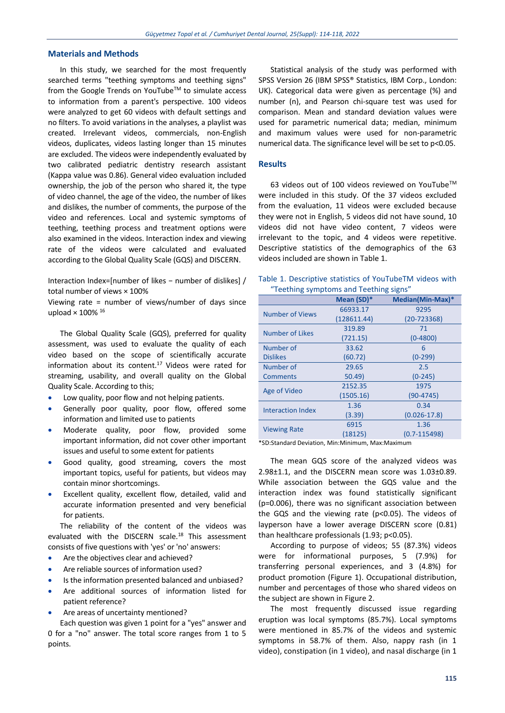## **Materials and Methods**

In this study, we searched for the most frequently searched terms "teething symptoms and teething signs" from the Google Trends on YouTubeTM to simulate access to information from a parent's perspective. 100 videos were analyzed to get 60 videos with default settings and no filters. To avoid variations in the analyses, a playlist was created. Irrelevant videos, commercials, non-English videos, duplicates, videos lasting longer than 15 minutes are excluded. The videos were independently evaluated by two calibrated pediatric dentistry research assistant (Kappa value was 0.86). General video evaluation included ownership, the job of the person who shared it, the type of video channel, the age of the video, the number of likes and dislikes, the number of comments, the purpose of the video and references. Local and systemic symptoms of teething, teething process and treatment options were also examined in the videos. Interaction index and viewing rate of the videos were calculated and evaluated according to the Global Quality Scale (GQS) and DISCERN.

Interaction Index=[number of likes − number of dislikes] / total number of views × 100%

Viewing rate = number of views/number of days since upload  $\times$  100%  $^{16}$ 

The Global Quality Scale (GQS), preferred for quality assessment, was used to evaluate the quality of each video based on the scope of scientifically accurate information about its content. $17$  Videos were rated for streaming, usability, and overall quality on the Global Quality Scale. According to this;

- Low quality, poor flow and not helping patients.
- Generally poor quality, poor flow, offered some information and limited use to patients
- Moderate quality, poor flow, provided some important information, did not cover other important issues and useful to some extent for patients
- Good quality, good streaming, covers the most important topics, useful for patients, but videos may contain minor shortcomings.
- Excellent quality, excellent flow, detailed, valid and accurate information presented and very beneficial for patients.

The reliability of the content of the videos was evaluated with the DISCERN scale.<sup>18</sup> This assessment consists of five questions with 'yes' or 'no' answers:

- Are the objectives clear and achieved?
- Are reliable sources of information used?
- Is the information presented balanced and unbiased?
- Are additional sources of information listed for patient reference?
- Are areas of uncertainty mentioned?

Each question was given 1 point for a "yes" answer and 0 for a "no" answer. The total score ranges from 1 to 5 points.

Statistical analysis of the study was performed with SPSS Version 26 (IBM SPSS® Statistics, IBM Corp., London: UK). Categorical data were given as percentage (%) and number (n), and Pearson chi-square test was used for comparison. Mean and standard deviation values were used for parametric numerical data; median, minimum and maximum values were used for non-parametric numerical data. The significance level will be set to p<0.05.

#### **Results**

63 videos out of 100 videos reviewed on YouTube™ were included in this study. Of the 37 videos excluded from the evaluation, 11 videos were excluded because they were not in English, 5 videos did not have sound, 10 videos did not have video content, 7 videos were irrelevant to the topic, and 4 videos were repetitive. Descriptive statistics of the demographics of the 63 videos included are shown in Table 1.

|  |  |  |  |                                        | Table 1. Descriptive statistics of YouTubeTM videos with |  |
|--|--|--|--|----------------------------------------|----------------------------------------------------------|--|
|  |  |  |  | "Teething symptoms and Teething signs" |                                                          |  |

|                          | Mean (SD)*  | Median(Min-Max)* |
|--------------------------|-------------|------------------|
| Number of Views          | 66933.17    | 9295             |
|                          | (128611.44) | $(20 - 723368)$  |
| <b>Number of Likes</b>   | 319.89      | 71               |
|                          | (721.15)    | $(0 - 4800)$     |
| Number of                | 33.62       | 6                |
| <b>Dislikes</b>          | (60.72)     | $(0-299)$        |
| Number of                | 29.65       | 2.5              |
| <b>Comments</b>          | 50.49       | $(0-245)$        |
| Age of Video             | 2152.35     | 1975             |
|                          | (1505.16)   | $(90 - 4745)$    |
| <b>Interaction Index</b> | 1.36        | 0.34             |
|                          | (3.39)      | $(0.026 - 17.8)$ |
|                          | 6915        | 1.36             |
| <b>Viewing Rate</b>      | (18125)     | $(0.7 - 115498)$ |

\*SD:Standard Deviation, Min:Minimum, Max:Maximum

The mean GQS score of the analyzed videos was 2.98±1.1, and the DISCERN mean score was 1.03±0.89. While association between the GQS value and the interaction index was found statistically significant (p=0.006), there was no significant association between the GQS and the viewing rate (p<0.05). The videos of layperson have a lower average DISCERN score (0.81) than healthcare professionals (1.93; p<0.05).

According to purpose of videos; 55 (87.3%) videos were for informational purposes, 5 (7.9%) for transferring personal experiences, and 3 (4.8%) for product promotion (Figure 1). Occupational distribution, number and percentages of those who shared videos on the subject are shown in Figure 2.

The most frequently discussed issue regarding eruption was local symptoms (85.7%). Local symptoms were mentioned in 85.7% of the videos and systemic symptoms in 58.7% of them. Also, nappy rash (in 1 video), constipation (in 1 video), and nasal discharge (in 1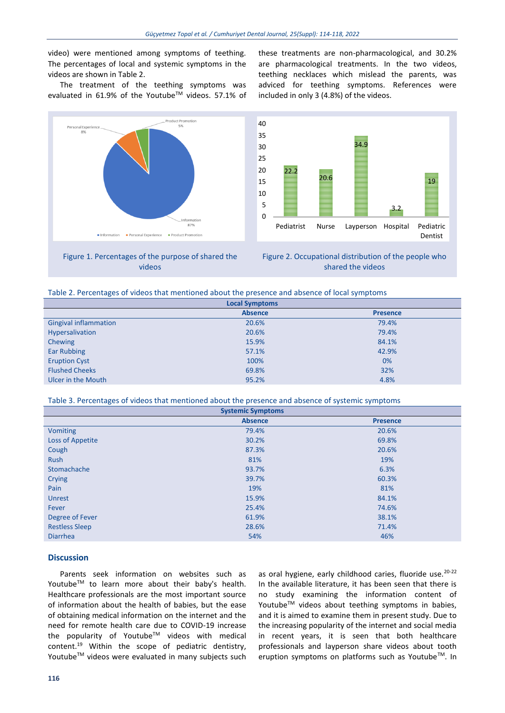video) were mentioned among symptoms of teething. The percentages of local and systemic symptoms in the videos are shown in Table 2.

The treatment of the teething symptoms was evaluated in 61.9% of the Youtube™ videos. 57.1% of



Figure 1. Percentages of the purpose of shared the videos

these treatments are non-pharmacological, and 30.2% are pharmacological treatments. In the two videos, teething necklaces which mislead the parents, was adviced for teething symptoms. References were included in only 3 (4.8%) of the videos.





| <b>Local Symptoms</b>        |                |                 |  |  |
|------------------------------|----------------|-----------------|--|--|
|                              | <b>Absence</b> | <b>Presence</b> |  |  |
| <b>Gingival inflammation</b> | 20.6%          | 79.4%           |  |  |
| Hypersalivation              | 20.6%          | 79.4%           |  |  |
| Chewing                      | 15.9%          | 84.1%           |  |  |
| <b>Ear Rubbing</b>           | 57.1%          | 42.9%           |  |  |
| <b>Eruption Cyst</b>         | 100%           | 0%              |  |  |
| <b>Flushed Cheeks</b>        | 69.8%          | 32%             |  |  |
| Ulcer in the Mouth           | 95.2%          | 4.8%            |  |  |

Table 3. Percentages of videos that mentioned about the presence and absence of systemic symptoms

| <b>Systemic Symptoms</b> |                |                 |  |  |  |
|--------------------------|----------------|-----------------|--|--|--|
|                          | <b>Absence</b> | <b>Presence</b> |  |  |  |
| <b>Vomiting</b>          | 79.4%          | 20.6%           |  |  |  |
| Loss of Appetite         | 30.2%          | 69.8%           |  |  |  |
| Cough                    | 87.3%          | 20.6%           |  |  |  |
| Rush                     | 81%            | 19%             |  |  |  |
| Stomachache              | 93.7%          | 6.3%            |  |  |  |
| Crying                   | 39.7%          | 60.3%           |  |  |  |
| Pain                     | 19%            | 81%             |  |  |  |
| <b>Unrest</b>            | 15.9%          | 84.1%           |  |  |  |
| Fever                    | 25.4%          | 74.6%           |  |  |  |
| Degree of Fever          | 61.9%          | 38.1%           |  |  |  |
| <b>Restless Sleep</b>    | 28.6%          | 71.4%           |  |  |  |
| <b>Diarrhea</b>          | 54%            | 46%             |  |  |  |

#### **Discussion**

Parents seek information on websites such as Youtube<sup>™</sup> to learn more about their baby's health. Healthcare professionals are the most important source of information about the health of babies, but the ease of obtaining medical information on the internet and the need for remote health care due to COVID-19 increase the popularity of Youtube™ videos with medical content.<sup>19</sup> Within the scope of pediatric dentistry, Youtube™ videos were evaluated in many subjects such

as oral hygiene, early childhood caries, fluoride use.<sup>20-22</sup> In the available literature, it has been seen that there is no study examining the information content of Youtube™ videos about teething symptoms in babies, and it is aimed to examine them in present study. Due to the increasing popularity of the internet and social media in recent years, it is seen that both healthcare professionals and layperson share videos about tooth eruption symptoms on platforms such as Youtube™. In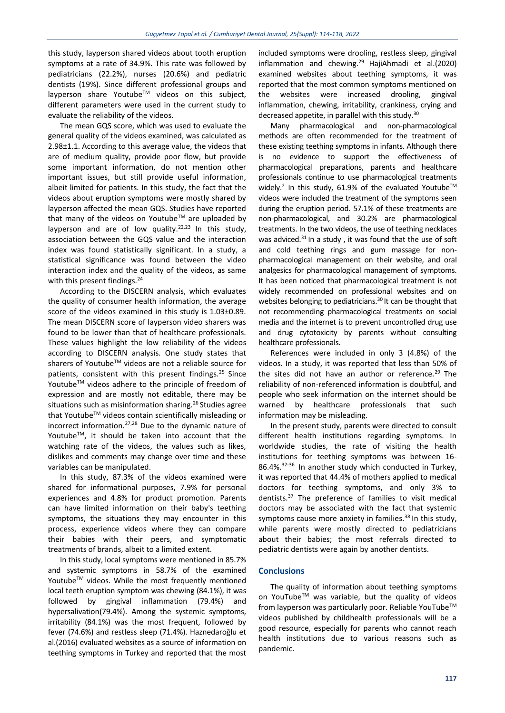this study, layperson shared videos about tooth eruption symptoms at a rate of 34.9%. This rate was followed by pediatricians (22.2%), nurses (20.6%) and pediatric dentists (19%). Since different professional groups and layperson share Youtube™ videos on this subject, different parameters were used in the current study to evaluate the reliability of the videos.

The mean GQS score, which was used to evaluate the general quality of the videos examined, was calculated as 2.98±1.1. According to this average value, the videos that are of medium quality, provide poor flow, but provide some important information, do not mention other important issues, but still provide useful information, albeit limited for patients. In this study, the fact that the videos about eruption symptoms were mostly shared by layperson affected the mean GQS. Studies have reported that many of the videos on Youtube<sup>TM</sup> are uploaded by layperson and are of low quality.<sup>22,23</sup> In this study, association between the GQS value and the interaction index was found statistically significant. In a study, a statistical significance was found between the video interaction index and the quality of the videos, as same with this present findings.<sup>24</sup>

According to the DISCERN analysis, which evaluates the quality of consumer health information, the average score of the videos examined in this study is 1.03±0.89. The mean DISCERN score of layperson video sharers was found to be lower than that of healthcare professionals. These values highlight the low reliability of the videos according to DISCERN analysis. One study states that sharers of Youtube™ videos are not a reliable source for patients, consistent with this present findings.<sup>25</sup> Since Youtube™ videos adhere to the principle of freedom of expression and are mostly not editable, there may be situations such as misinformation sharing.<sup>26</sup> Studies agree that Youtube™ videos contain scientifically misleading or incorrect information.27,28 Due to the dynamic nature of Youtube<sup>™</sup>, it should be taken into account that the watching rate of the videos, the values such as likes, dislikes and comments may change over time and these variables can be manipulated.

In this study, 87.3% of the videos examined were shared for informational purposes, 7.9% for personal experiences and 4.8% for product promotion. Parents can have limited information on their baby's teething symptoms, the situations they may encounter in this process, experience videos where they can compare their babies with their peers, and symptomatic treatments of brands, albeit to a limited extent.

In this study, local symptoms were mentioned in 85.7% and systemic symptoms in 58.7% of the examined Youtube<sup>™</sup> videos. While the most frequently mentioned local teeth eruption symptom was chewing (84.1%), it was followed by gingival inflammation (79.4%) and hypersalivation(79.4%). Among the systemic symptoms, irritability (84.1%) was the most frequent, followed by fever (74.6%) and restless sleep (71.4%). Haznedaroğlu et al.(2016) evaluated websites as a source of information on teething symptoms in Turkey and reported that the most

included symptoms were drooling, restless sleep, gingival inflammation and chewing. $29$  HajiAhmadi et al.(2020) examined websites about teething symptoms, it was reported that the most common symptoms mentioned on the websites were increased drooling, gingival inflammation, chewing, irritability, crankiness, crying and decreased appetite, in parallel with this study.<sup>30</sup>

Many pharmacological and non-pharmacological methods are often recommended for the treatment of these existing teething symptoms in infants. Although there is no evidence to support the effectiveness of pharmacological preparations, parents and healthcare professionals continue to use pharmacological treatments widely.<sup>2</sup> In this study, 61.9% of the evaluated Youtube<sup>TM</sup> videos were included the treatment of the symptoms seen during the eruption period. 57.1% of these treatments are non-pharmacological, and 30.2% are pharmacological treatments. In the two videos, the use of teething necklaces was adviced. $31$  In a study, it was found that the use of soft and cold teething rings and gum massage for nonpharmacological management on their website, and oral analgesics for pharmacological management of symptoms. It has been noticed that pharmacological treatment is not widely recommended on professional websites and on websites belonging to pediatricians.<sup>30</sup> It can be thought that not recommending pharmacological treatments on social media and the internet is to prevent uncontrolled drug use and drug cytotoxicity by parents without consulting healthcare professionals.

References were included in only 3 (4.8%) of the videos. In a study, it was reported that less than 50% of the sites did not have an author or reference.<sup>29</sup> The reliability of non-referenced information is doubtful, and people who seek information on the internet should be warned by healthcare professionals that such information may be misleading.

In the present study, parents were directed to consult different health institutions regarding symptoms. In worldwide studies, the rate of visiting the health institutions for teething symptoms was between 16- 86.4%.32-36 In another study which conducted in Turkey, it was reported that 44.4% of mothers applied to medical doctors for teething symptoms, and only 3% to dentists.<sup>37</sup> The preference of families to visit medical doctors may be associated with the fact that systemic symptoms cause more anxiety in families. $38$  In this study, while parents were mostly directed to pediatricians about their babies; the most referrals directed to pediatric dentists were again by another dentists.

### **Conclusions**

The quality of information about teething symptoms on YouTube™ was variable, but the quality of videos from layperson was particularly poor. Reliable YouTube™ videos published by childhealth professionals will be a good resource, especially for parents who cannot reach health institutions due to various reasons such as pandemic.